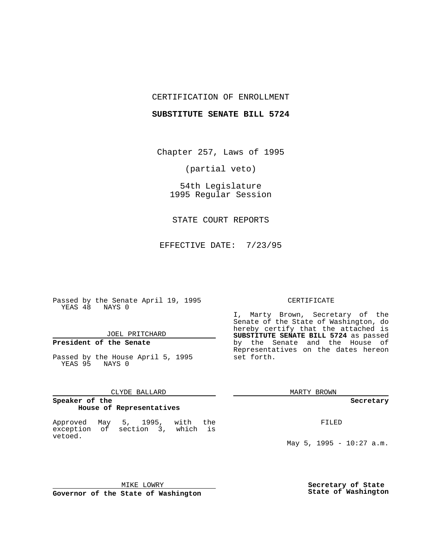## CERTIFICATION OF ENROLLMENT

## **SUBSTITUTE SENATE BILL 5724**

Chapter 257, Laws of 1995

(partial veto)

54th Legislature 1995 Regular Session

STATE COURT REPORTS

EFFECTIVE DATE: 7/23/95

Passed by the Senate April 19, 1995 YEAS 48 NAYS 0

## JOEL PRITCHARD

# **President of the Senate**

Passed by the House April 5, 1995 YEAS 95 NAYS 0

## CLYDE BALLARD

#### **Speaker of the House of Representatives**

Approved May 5, 1995, with the exception of section 3, which is vetoed.

## MIKE LOWRY **Governor of the State of Washington**

#### CERTIFICATE

I, Marty Brown, Secretary of the Senate of the State of Washington, do hereby certify that the attached is **SUBSTITUTE SENATE BILL 5724** as passed by the Senate and the House of Representatives on the dates hereon set forth.

MARTY BROWN

**Secretary**

FILED

May  $5$ , 1995 - 10:27 a.m.

**Secretary of State State of Washington**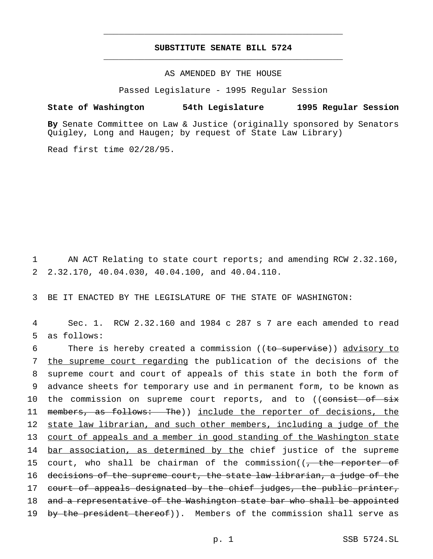## **SUBSTITUTE SENATE BILL 5724** \_\_\_\_\_\_\_\_\_\_\_\_\_\_\_\_\_\_\_\_\_\_\_\_\_\_\_\_\_\_\_\_\_\_\_\_\_\_\_\_\_\_\_\_\_\_\_

\_\_\_\_\_\_\_\_\_\_\_\_\_\_\_\_\_\_\_\_\_\_\_\_\_\_\_\_\_\_\_\_\_\_\_\_\_\_\_\_\_\_\_\_\_\_\_

## AS AMENDED BY THE HOUSE

Passed Legislature - 1995 Regular Session

#### **State of Washington 54th Legislature 1995 Regular Session**

**By** Senate Committee on Law & Justice (originally sponsored by Senators Quigley, Long and Haugen; by request of State Law Library)

Read first time 02/28/95.

1 AN ACT Relating to state court reports; and amending RCW 2.32.160, 2 2.32.170, 40.04.030, 40.04.100, and 40.04.110.

3 BE IT ENACTED BY THE LEGISLATURE OF THE STATE OF WASHINGTON:

4 Sec. 1. RCW 2.32.160 and 1984 c 287 s 7 are each amended to read 5 as follows:

6 There is hereby created a commission ((to supervise)) advisory to 7 the supreme court regarding the publication of the decisions of the 8 supreme court and court of appeals of this state in both the form of 9 advance sheets for temporary use and in permanent form, to be known as 10 the commission on supreme court reports, and to ((consist of six 11 members, as follows: The)) include the reporter of decisions, the 12 state law librarian, and such other members, including a judge of the 13 court of appeals and a member in good standing of the Washington state 14 bar association, as determined by the chief justice of the supreme 15 court, who shall be chairman of the commission( $\sqrt{ }$  the reporter of 16 decisions of the supreme court, the state law librarian, a judge of the 17 court of appeals designated by the chief judges, the public printer, 18 and a representative of the Washington state bar who shall be appointed 19 by the president thereof)). Members of the commission shall serve as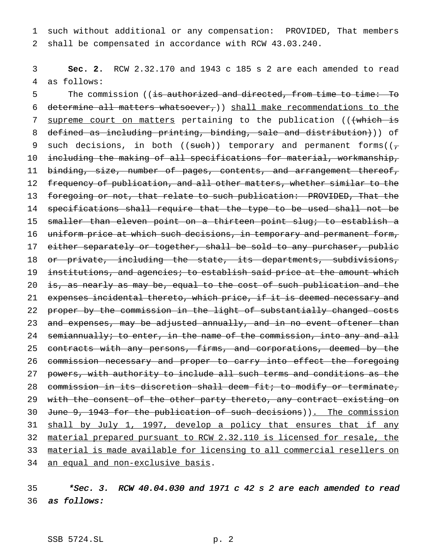1 such without additional or any compensation: PROVIDED, That members 2 shall be compensated in accordance with RCW 43.03.240.

3 **Sec. 2.** RCW 2.32.170 and 1943 c 185 s 2 are each amended to read 4 as follows:

5 The commission ((is authorized and directed, from time to time: To 6 determine all matters whatsoever,)) shall make recommendations to the 7 supreme court on matters pertaining to the publication (((which is 8 defined as including printing, binding, sale and distribution))) of 9 such decisions, in both ((such)) temporary and permanent forms( $(\tau$ 10 including the making of all specifications for material, workmanship, 11 binding, size, number of pages, contents, and arrangement thereof, 12 frequency of publication, and all other matters, whether similar to the 13 foregoing or not, that relate to such publication: PROVIDED, That the 14 specifications shall require that the type to be used shall not be 15 smaller than eleven point on a thirteen point slug; to establish a 16 uniform price at which such decisions, in temporary and permanent form, 17 either separately or together, shall be sold to any purchaser, public 18 or private, including the state, its departments, subdivisions, 19 institutions, and agencies; to establish said price at the amount which 20 is, as nearly as may be, equal to the cost of such publication and the 21 expenses incidental thereto, which price, if it is deemed necessary and 22 proper by the commission in the light of substantially changed costs 23 and expenses, may be adjusted annually, and in no event oftener than 24 semiannually; to enter, in the name of the commission, into any and all 25 contracts with any persons, firms, and corporations, deemed by the 26 commission necessary and proper to carry into effect the foregoing 27 powers, with authority to include all such terms and conditions as the 28 commission in its discretion shall deem fit; to modify or terminate, 29 with the consent of the other party thereto, any contract existing on 30 June 9, 1943 for the publication of such decisions)). The commission 31 shall by July 1, 1997, develop a policy that ensures that if any 32 material prepared pursuant to RCW 2.32.110 is licensed for resale, the 33 material is made available for licensing to all commercial resellers on 34 an equal and non-exclusive basis.

 $35$  \*Sec. 3. RCW 40.04.030 and 1971 c 42 s 2 are each amended to read 36 as follows: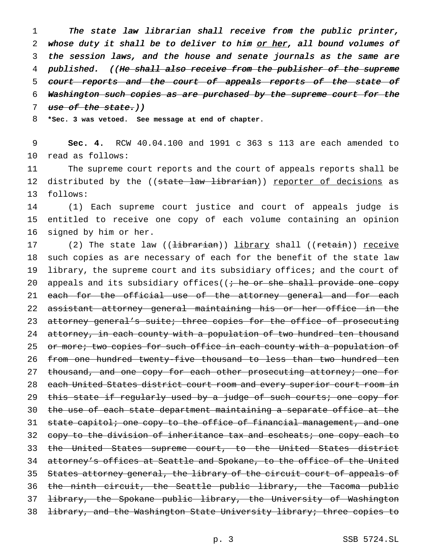1 The state law librarian shall receive from the public printer, 2 whose duty it shall be to deliver to him or her, all bound volumes of 3 the session laws, and the house and senate journals as the same are 4 published. ((He shall also receive from the publisher of the supreme 5 court reports and the court of appeals reports of the state of 6 Washington such copies as are purchased by the supreme court for the 7 use of the state.))

8 **\*Sec. 3 was vetoed. See message at end of chapter.**

9 **Sec. 4.** RCW 40.04.100 and 1991 c 363 s 113 are each amended to 10 read as follows:

11 The supreme court reports and the court of appeals reports shall be 12 distributed by the ((state law librarian)) reporter of decisions as 13 follows:

14 (1) Each supreme court justice and court of appeals judge is 15 entitled to receive one copy of each volume containing an opinion 16 signed by him or her.

17 (2) The state law ((<del>librarian</del>)) library shall ((retain)) receive 18 such copies as are necessary of each for the benefit of the state law 19 library, the supreme court and its subsidiary offices; and the court of 20 appeals and its subsidiary offices( $(i + he or she shall provide one copy)$ 21 each for the official use of the attorney general and for each 22 assistant attorney general maintaining his or her office in the 23 attorney general's suite; three copies for the office of prosecuting 24 attorney, in each county with a population of two hundred ten thousand 25 or more; two copies for such office in each county with a population of 26 from one hundred twenty-five thousand to less than two hundred ten 27 thousand, and one copy for each other prosecuting attorney; one for 28 each United States district court room and every superior court room in 29 this state if regularly used by a judge of such courts; one copy for 30 the use of each state department maintaining a separate office at the 31 state capitol; one copy to the office of financial management, and one 32 copy to the division of inheritance tax and escheats; one copy each to 33 the United States supreme court, to the United States district 34 attorney's offices at Seattle and Spokane, to the office of the United 35 States attorney general, the library of the circuit court of appeals of 36 the ninth circuit, the Seattle public library, the Tacoma public 37 <del>library, the Spokane public library, the University of Washington</del> 38 library, and the Washington State University library; three copies to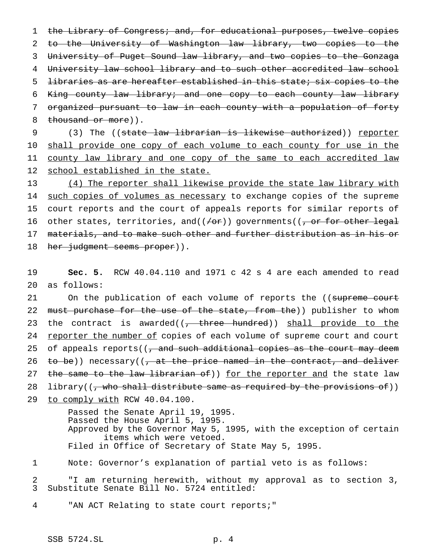1 the Library of Congress; and, for educational purposes, twelve copies to the University of Washington law library, two copies to the University of Puget Sound law library, and two copies to the Gonzaga University law school library and to such other accredited law school libraries as are hereafter established in this state; six copies to the King county law library; and one copy to each county law library organized pursuant to law in each county with a population of forty 8 thousand or more)).

9 (3) The ((state law librarian is likewise authorized)) reporter 10 shall provide one copy of each volume to each county for use in the 11 county law library and one copy of the same to each accredited law 12 school established in the state.

13 (4) The reporter shall likewise provide the state law library with 14 such copies of volumes as necessary to exchange copies of the supreme 15 court reports and the court of appeals reports for similar reports of 16 other states, territories, and( $(\neq$ or)) governments( $(\frac{\cdot}{\cdot},$  or for other legal 17 materials, and to make such other and further distribution as in his or 18 h<del>er judgment seems proper</del>)).

19 **Sec. 5.** RCW 40.04.110 and 1971 c 42 s 4 are each amended to read 20 as follows:

21 On the publication of each volume of reports the ((supreme court 22 must purchase for the use of the state, from the)) publisher to whom 23 the contract is awarded( $(-t)$  three hundred)) shall provide to the 24 reporter the number of copies of each volume of supreme court and court 25 of appeals reports( $\left(\frac{1}{2}, \frac{1}{2}, \frac{1}{2}\right)$  and such additional copies as the court may deem 26 to be)) necessary( $\left( \frac{1}{2} \right)$  at the price named in the contract, and deliver 27 the same to the law librarian of)) for the reporter and the state law 28 library((<del>, who shall distribute same as required by the provisions of</del>)) 29 to comply with RCW 40.04.100.

Passed the Senate April 19, 1995. Passed the House April 5, 1995. Approved by the Governor May 5, 1995, with the exception of certain items which were vetoed. Filed in Office of Secretary of State May 5, 1995.

1 Note: Governor's explanation of partial veto is as follows:

2 "I am returning herewith, without my approval as to section 3, 3 Substitute Senate Bill No. 5724 entitled:

4 "AN ACT Relating to state court reports;"